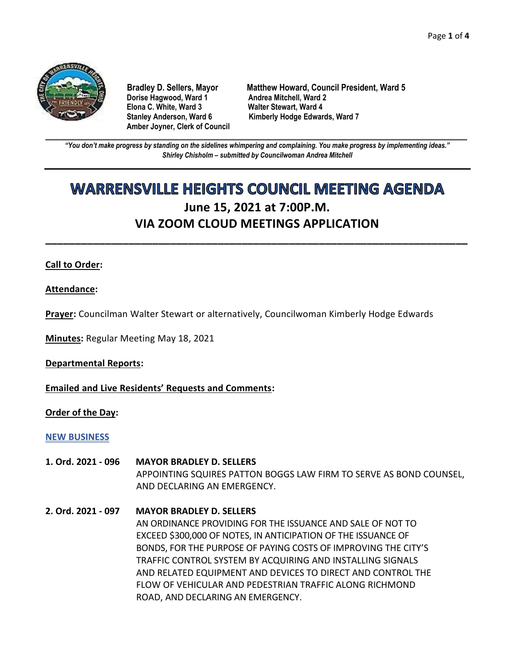

**Dorise Hagwood, Ward 1 Elona C. White, Ward 3 Walter Stewart, Ward 4 Amber Joyner, Clerk of Council**

**Bradley D. Sellers, Mayor Matthew Howard, Council President, Ward 5** Stanley Anderson, Ward 6 Kimberly Hodge Edwards, Ward 7

**\_\_\_\_\_\_\_\_\_\_\_\_\_\_\_\_\_\_\_\_\_\_\_\_\_\_\_\_\_\_\_\_\_\_\_\_\_\_\_\_\_\_\_\_\_\_\_\_\_\_\_\_\_\_\_\_\_\_\_\_\_\_\_\_\_\_\_\_\_\_\_\_\_\_\_\_\_\_\_\_\_\_\_\_\_\_\_\_\_\_\_\_\_\_\_\_\_\_\_\_\_\_\_\_\_\_\_\_\_\_** *"You don't make progress by standing on the sidelines whimpering and complaining. You make progress by implementing ideas." Shirley Chisholm – submitted by Councilwoman Andrea Mitchell*

# **WARRENSVILLE HEIGHTS COUNCIL MEETING AGENDA June 15, 2021 at 7:00P.M. VIA ZOOM CLOUD MEETINGS APPLICATION**

**\_\_\_\_\_\_\_\_\_\_\_\_\_\_\_\_\_\_\_\_\_\_\_\_\_\_\_\_\_\_\_\_\_\_\_\_\_\_\_\_\_\_\_\_\_\_\_\_\_\_\_\_\_\_\_\_\_\_\_\_\_\_\_\_\_\_\_\_\_\_\_**

### **Call to Order:**

**Attendance:**

**Prayer:** Councilman Walter Stewart or alternatively, Councilwoman Kimberly Hodge Edwards

**Minutes:** Regular Meeting May 18, 2021

**Departmental Reports:**

**Emailed and Live Residents' Requests and Comments:**

**Order of the Day:**

### **NEW BUSINESS**

- **1. Ord. 2021 - 096 MAYOR BRADLEY D. SELLERS** APPOINTING SQUIRES PATTON BOGGS LAW FIRM TO SERVE AS BOND COUNSEL, AND DECLARING AN EMERGENCY.
- **2. Ord. 2021 - 097 MAYOR BRADLEY D. SELLERS** AN ORDINANCE PROVIDING FOR THE ISSUANCE AND SALE OF NOT TO EXCEED \$300,000 OF NOTES, IN ANTICIPATION OF THE ISSUANCE OF BONDS, FOR THE PURPOSE OF PAYING COSTS OF IMPROVING THE CITY'S TRAFFIC CONTROL SYSTEM BY ACQUIRING AND INSTALLING SIGNALS AND RELATED EQUIPMENT AND DEVICES TO DIRECT AND CONTROL THE FLOW OF VEHICULAR AND PEDESTRIAN TRAFFIC ALONG RICHMOND ROAD, AND DECLARING AN EMERGENCY.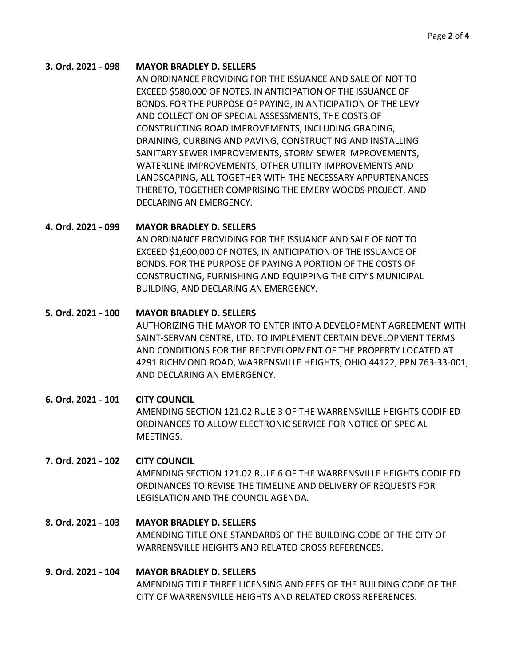### **3. Ord. 2021 - 098 MAYOR BRADLEY D. SELLERS**

AN ORDINANCE PROVIDING FOR THE ISSUANCE AND SALE OF NOT TO EXCEED \$580,000 OF NOTES, IN ANTICIPATION OF THE ISSUANCE OF BONDS, FOR THE PURPOSE OF PAYING, IN ANTICIPATION OF THE LEVY AND COLLECTION OF SPECIAL ASSESSMENTS, THE COSTS OF CONSTRUCTING ROAD IMPROVEMENTS, INCLUDING GRADING, DRAINING, CURBING AND PAVING, CONSTRUCTING AND INSTALLING SANITARY SEWER IMPROVEMENTS, STORM SEWER IMPROVEMENTS, WATERLINE IMPROVEMENTS, OTHER UTILITY IMPROVEMENTS AND LANDSCAPING, ALL TOGETHER WITH THE NECESSARY APPURTENANCES THERETO, TOGETHER COMPRISING THE EMERY WOODS PROJECT, AND DECLARING AN EMERGENCY.

### **4. Ord. 2021 - 099 MAYOR BRADLEY D. SELLERS**

AN ORDINANCE PROVIDING FOR THE ISSUANCE AND SALE OF NOT TO EXCEED \$1,600,000 OF NOTES, IN ANTICIPATION OF THE ISSUANCE OF BONDS, FOR THE PURPOSE OF PAYING A PORTION OF THE COSTS OF CONSTRUCTING, FURNISHING AND EQUIPPING THE CITY'S MUNICIPAL BUILDING, AND DECLARING AN EMERGENCY.

### **5. Ord. 2021 - 100 MAYOR BRADLEY D. SELLERS**

AUTHORIZING THE MAYOR TO ENTER INTO A DEVELOPMENT AGREEMENT WITH SAINT-SERVAN CENTRE, LTD. TO IMPLEMENT CERTAIN DEVELOPMENT TERMS AND CONDITIONS FOR THE REDEVELOPMENT OF THE PROPERTY LOCATED AT 4291 RICHMOND ROAD, WARRENSVILLE HEIGHTS, OHIO 44122, PPN 763-33-001, AND DECLARING AN EMERGENCY.

**6. Ord. 2021 - 101 CITY COUNCIL** AMENDING SECTION 121.02 RULE 3 OF THE WARRENSVILLE HEIGHTS CODIFIED ORDINANCES TO ALLOW ELECTRONIC SERVICE FOR NOTICE OF SPECIAL MEETINGS.

### **7. Ord. 2021 - 102 CITY COUNCIL**

AMENDING SECTION 121.02 RULE 6 OF THE WARRENSVILLE HEIGHTS CODIFIED ORDINANCES TO REVISE THE TIMELINE AND DELIVERY OF REQUESTS FOR LEGISLATION AND THE COUNCIL AGENDA.

## **8. Ord. 2021 - 103 MAYOR BRADLEY D. SELLERS**

AMENDING TITLE ONE STANDARDS OF THE BUILDING CODE OF THE CITY OF WARRENSVILLE HEIGHTS AND RELATED CROSS REFERENCES.

### **9. Ord. 2021 - 104 MAYOR BRADLEY D. SELLERS**

AMENDING TITLE THREE LICENSING AND FEES OF THE BUILDING CODE OF THE CITY OF WARRENSVILLE HEIGHTS AND RELATED CROSS REFERENCES.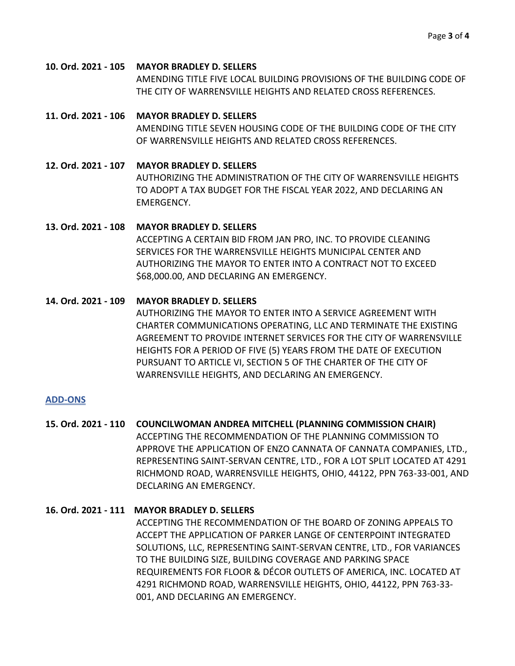**10. Ord. 2021 - 105 MAYOR BRADLEY D. SELLERS** AMENDING TITLE FIVE LOCAL BUILDING PROVISIONS OF THE BUILDING CODE OF THE CITY OF WARRENSVILLE HEIGHTS AND RELATED CROSS REFERENCES.

### **11. Ord. 2021 - 106 MAYOR BRADLEY D. SELLERS** AMENDING TITLE SEVEN HOUSING CODE OF THE BUILDING CODE OF THE CITY OF WARRENSVILLE HEIGHTS AND RELATED CROSS REFERENCES.

**12. Ord. 2021 - 107 MAYOR BRADLEY D. SELLERS** AUTHORIZING THE ADMINISTRATION OF THE CITY OF WARRENSVILLE HEIGHTS TO ADOPT A TAX BUDGET FOR THE FISCAL YEAR 2022, AND DECLARING AN EMERGENCY.

### **13. Ord. 2021 - 108 MAYOR BRADLEY D. SELLERS**

ACCEPTING A CERTAIN BID FROM JAN PRO, INC. TO PROVIDE CLEANING SERVICES FOR THE WARRENSVILLE HEIGHTS MUNICIPAL CENTER AND AUTHORIZING THE MAYOR TO ENTER INTO A CONTRACT NOT TO EXCEED \$68,000.00, AND DECLARING AN EMERGENCY.

### **14. Ord. 2021 - 109 MAYOR BRADLEY D. SELLERS**

AUTHORIZING THE MAYOR TO ENTER INTO A SERVICE AGREEMENT WITH CHARTER COMMUNICATIONS OPERATING, LLC AND TERMINATE THE EXISTING AGREEMENT TO PROVIDE INTERNET SERVICES FOR THE CITY OF WARRENSVILLE HEIGHTS FOR A PERIOD OF FIVE (5) YEARS FROM THE DATE OF EXECUTION PURSUANT TO ARTICLE VI, SECTION 5 OF THE CHARTER OF THE CITY OF WARRENSVILLE HEIGHTS, AND DECLARING AN EMERGENCY.

### **ADD-ONS**

**15. Ord. 2021 - 110 COUNCILWOMAN ANDREA MITCHELL (PLANNING COMMISSION CHAIR)** ACCEPTING THE RECOMMENDATION OF THE PLANNING COMMISSION TO APPROVE THE APPLICATION OF ENZO CANNATA OF CANNATA COMPANIES, LTD., REPRESENTING SAINT-SERVAN CENTRE, LTD., FOR A LOT SPLIT LOCATED AT 4291 RICHMOND ROAD, WARRENSVILLE HEIGHTS, OHIO, 44122, PPN 763-33-001, AND DECLARING AN EMERGENCY.

### **16. Ord. 2021 - 111 MAYOR BRADLEY D. SELLERS**

ACCEPTING THE RECOMMENDATION OF THE BOARD OF ZONING APPEALS TO ACCEPT THE APPLICATION OF PARKER LANGE OF CENTERPOINT INTEGRATED SOLUTIONS, LLC, REPRESENTING SAINT-SERVAN CENTRE, LTD., FOR VARIANCES TO THE BUILDING SIZE, BUILDING COVERAGE AND PARKING SPACE REQUIREMENTS FOR FLOOR & DÉCOR OUTLETS OF AMERICA, INC. LOCATED AT 4291 RICHMOND ROAD, WARRENSVILLE HEIGHTS, OHIO, 44122, PPN 763-33- 001, AND DECLARING AN EMERGENCY.